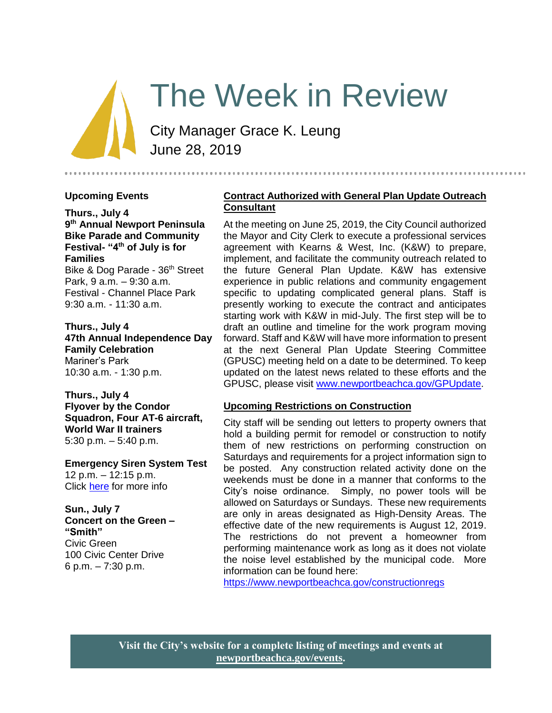# The Week in Review

City Manager Grace K. Leung June 28, 2019

#### **Upcoming Events**

**Thurs., July 4 9 th Annual Newport Peninsula Bike Parade and Community Festival- "4th of July is for Families**

Bike & Dog Parade - 36<sup>th</sup> Street Park, 9 a.m. – 9:30 a.m. Festival - Channel Place Park 9:30 a.m. - 11:30 a.m.

**Thurs., July 4 47th Annual Independence Day Family Celebration** Mariner's Park 10:30 a.m. - 1:30 p.m.

**Thurs., July 4 Flyover by the Condor Squadron, Four AT-6 aircraft, World War II trainers** 5:30 p.m. – 5:40 p.m.

**Emergency Siren System Test** 12 p.m. – 12:15 p.m. Click [here](https://www.newportbeachca.gov/Home/Components/Calendar/Event/4699/72?curm=7&cury=2019) for more info

**Sun., July 7 Concert on the Green – "Smith"** Civic Green 100 Civic Center Drive 6 p.m. – 7:30 p.m.

#### **Contract Authorized with General Plan Update Outreach Consultant**

At the meeting on June 25, 2019, the City Council authorized the Mayor and City Clerk to execute a professional services agreement with Kearns & West, Inc. (K&W) to prepare, implement, and facilitate the community outreach related to the future General Plan Update. K&W has extensive experience in public relations and community engagement specific to updating complicated general plans. Staff is presently working to execute the contract and anticipates starting work with K&W in mid-July. The first step will be to draft an outline and timeline for the work program moving forward. Staff and K&W will have more information to present at the next General Plan Update Steering Committee (GPUSC) meeting held on a date to be determined. To keep updated on the latest news related to these efforts and the GPUSC, please visit [www.newportbeachca.gov/GPUpdate.](file:///C:/Users/syamada/AppData/Local/Microsoft/Windows/Temporary%20Internet%20Files/Content.Outlook/741B3M6Q/www.newportbeachca.gov/GPUpdate)

#### **Upcoming Restrictions on Construction**

City staff will be sending out letters to property owners that hold a building permit for remodel or construction to notify them of new restrictions on performing construction on Saturdays and requirements for a project information sign to be posted. Any construction related activity done on the weekends must be done in a manner that conforms to the City's noise ordinance. Simply, no power tools will be allowed on Saturdays or Sundays. These new requirements are only in areas designated as High-Density Areas. The effective date of the new requirements is August 12, 2019. The restrictions do not prevent a homeowner from performing maintenance work as long as it does not violate the noise level established by the municipal code. More information can be found here:

<https://www.newportbeachca.gov/constructionregs>

**Visit the City's website for a complete listing of meetings and events at [newportbeachca.gov/events.](https://www.newportbeachca.gov/government/open-government/city-calendar)**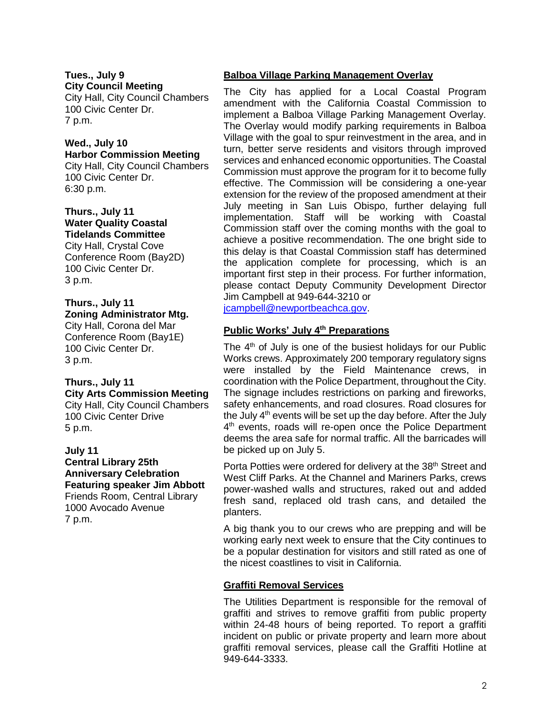**Tues., July 9 City Council Meeting** City Hall, City Council Chambers 100 Civic Center Dr. 7 p.m.

#### **Wed., July 10 Harbor Commission Meeting**

City Hall, City Council Chambers 100 Civic Center Dr. 6:30 p.m.

#### **Thurs., July 11 Water Quality Coastal Tidelands Committee**

City Hall, Crystal Cove Conference Room (Bay2D) 100 Civic Center Dr. 3 p.m.

## **Thurs., July 11 Zoning Administrator Mtg.**

City Hall, Corona del Mar Conference Room (Bay1E) 100 Civic Center Dr. 3 p.m.

## **Thurs., July 11 City Arts Commission Meeting** City Hall, City Council Chambers

100 Civic Center Drive 5 p.m.

#### **July 11 Central Library 25th Anniversary Celebration Featuring speaker Jim Abbott** Friends Room, Central Library 1000 Avocado Avenue

7 p.m.

## **Balboa Village Parking Management Overlay**

The City has applied for a Local Coastal Program amendment with the California Coastal Commission to implement a Balboa Village Parking Management Overlay. The Overlay would modify parking requirements in Balboa Village with the goal to spur reinvestment in the area, and in turn, better serve residents and visitors through improved services and enhanced economic opportunities. The Coastal Commission must approve the program for it to become fully effective. The Commission will be considering a one-year extension for the review of the proposed amendment at their July meeting in San Luis Obispo, further delaying full implementation. Staff will be working with Coastal Commission staff over the coming months with the goal to achieve a positive recommendation. The one bright side to this delay is that Coastal Commission staff has determined the application complete for processing, which is an important first step in their process. For further information, please contact Deputy Community Development Director Jim Campbell at 949-644-3210 or [jcampbell@newportbeachca.gov.](mailto:jcampbell@newportbeachca.gov)

## **Public Works' July 4th Preparations**

The 4<sup>th</sup> of July is one of the busiest holidays for our Public Works crews. Approximately 200 temporary regulatory signs were installed by the Field Maintenance crews, in coordination with the Police Department, throughout the City. The signage includes restrictions on parking and fireworks, safety enhancements, and road closures. Road closures for the July 4<sup>th</sup> events will be set up the day before. After the July 4<sup>th</sup> events, roads will re-open once the Police Department deems the area safe for normal traffic. All the barricades will be picked up on July 5.

Porta Potties were ordered for delivery at the 38<sup>th</sup> Street and West Cliff Parks. At the Channel and Mariners Parks, crews power-washed walls and structures, raked out and added fresh sand, replaced old trash cans, and detailed the planters.

A big thank you to our crews who are prepping and will be working early next week to ensure that the City continues to be a popular destination for visitors and still rated as one of the nicest coastlines to visit in California.

## **Graffiti Removal Services**

The Utilities Department is responsible for the removal of graffiti and strives to remove graffiti from public property within 24-48 hours of being reported. To report a graffiti incident on public or private property and learn more about graffiti removal services, please call the Graffiti Hotline at 949-644-3333.